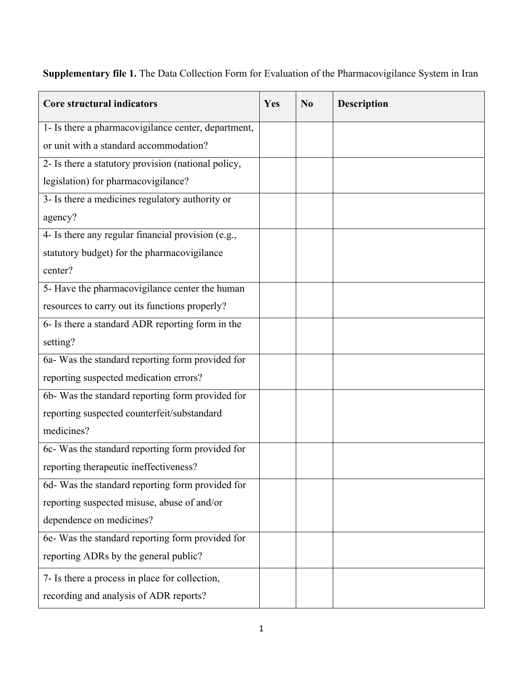**Supplementary file 1.** The Data Collection Form for Evaluation of the Pharmacovigilance System in Iran

| Core structural indicators                          | Yes | N <sub>0</sub> | <b>Description</b> |
|-----------------------------------------------------|-----|----------------|--------------------|
| 1- Is there a pharmacovigilance center, department, |     |                |                    |
| or unit with a standard accommodation?              |     |                |                    |
| 2- Is there a statutory provision (national policy, |     |                |                    |
| legislation) for pharmacovigilance?                 |     |                |                    |
| 3- Is there a medicines regulatory authority or     |     |                |                    |
| agency?                                             |     |                |                    |
| 4- Is there any regular financial provision (e.g.,  |     |                |                    |
| statutory budget) for the pharmacovigilance         |     |                |                    |
| center?                                             |     |                |                    |
| 5- Have the pharmacovigilance center the human      |     |                |                    |
| resources to carry out its functions properly?      |     |                |                    |
| 6- Is there a standard ADR reporting form in the    |     |                |                    |
| setting?                                            |     |                |                    |
| 6a- Was the standard reporting form provided for    |     |                |                    |
| reporting suspected medication errors?              |     |                |                    |
| 6b- Was the standard reporting form provided for    |     |                |                    |
| reporting suspected counterfeit/substandard         |     |                |                    |
| medicines?                                          |     |                |                    |
| 6c- Was the standard reporting form provided for    |     |                |                    |
| reporting therapeutic ineffectiveness?              |     |                |                    |
| 6d- Was the standard reporting form provided for    |     |                |                    |
| reporting suspected misuse, abuse of and/or         |     |                |                    |
| dependence on medicines?                            |     |                |                    |
| 6e- Was the standard reporting form provided for    |     |                |                    |
| reporting ADRs by the general public?               |     |                |                    |
| 7- Is there a process in place for collection,      |     |                |                    |
| recording and analysis of ADR reports?              |     |                |                    |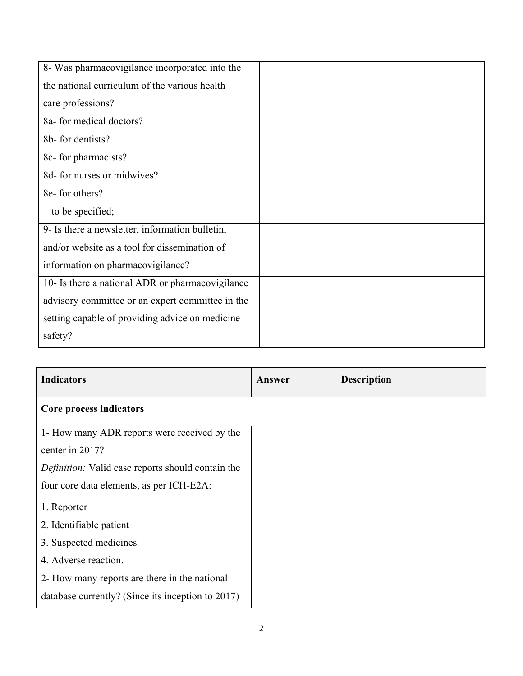| 8- Was pharmacovigilance incorporated into the   |  |  |
|--------------------------------------------------|--|--|
| the national curriculum of the various health    |  |  |
| care professions?                                |  |  |
| 8a- for medical doctors?                         |  |  |
| 8b- for dentists?                                |  |  |
| 8c- for pharmacists?                             |  |  |
| 8d- for nurses or midwives?                      |  |  |
| 8e- for others?                                  |  |  |
| $-$ to be specified;                             |  |  |
| 9- Is there a newsletter, information bulletin,  |  |  |
| and/or website as a tool for dissemination of    |  |  |
| information on pharmacovigilance?                |  |  |
| 10- Is there a national ADR or pharmacovigilance |  |  |
| advisory committee or an expert committee in the |  |  |
| setting capable of providing advice on medicine  |  |  |
| safety?                                          |  |  |

| <b>Indicators</b>                                        | Answer | <b>Description</b> |
|----------------------------------------------------------|--------|--------------------|
| Core process indicators                                  |        |                    |
| 1- How many ADR reports were received by the             |        |                    |
| center in 2017?                                          |        |                    |
| <i>Definition:</i> Valid case reports should contain the |        |                    |
| four core data elements, as per ICH-E2A:                 |        |                    |
| 1. Reporter                                              |        |                    |
| 2. Identifiable patient                                  |        |                    |
| 3. Suspected medicines                                   |        |                    |
| 4. Adverse reaction.                                     |        |                    |
| 2- How many reports are there in the national            |        |                    |
| database currently? (Since its inception to 2017)        |        |                    |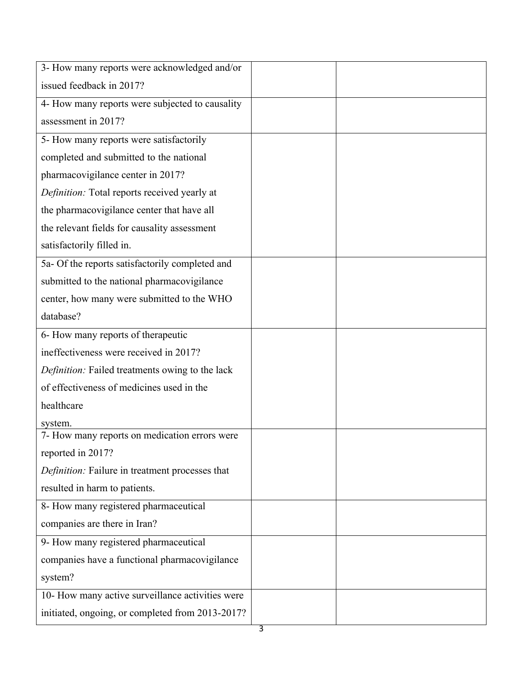| 3- How many reports were acknowledged and/or     |  |
|--------------------------------------------------|--|
| issued feedback in 2017?                         |  |
| 4- How many reports were subjected to causality  |  |
| assessment in 2017?                              |  |
| 5- How many reports were satisfactorily          |  |
| completed and submitted to the national          |  |
| pharmacovigilance center in 2017?                |  |
| Definition: Total reports received yearly at     |  |
| the pharmacovigilance center that have all       |  |
| the relevant fields for causality assessment     |  |
| satisfactorily filled in.                        |  |
| 5a- Of the reports satisfactorily completed and  |  |
| submitted to the national pharmacovigilance      |  |
| center, how many were submitted to the WHO       |  |
| database?                                        |  |
| 6- How many reports of therapeutic               |  |
| ineffectiveness were received in 2017?           |  |
| Definition: Failed treatments owing to the lack  |  |
| of effectiveness of medicines used in the        |  |
| healthcare                                       |  |
| system.                                          |  |
| 7- How many reports on medication errors were    |  |
| reported in 2017?                                |  |
| Definition: Failure in treatment processes that  |  |
| resulted in harm to patients.                    |  |
| 8- How many registered pharmaceutical            |  |
| companies are there in Iran?                     |  |
| 9- How many registered pharmaceutical            |  |
| companies have a functional pharmacovigilance    |  |
| system?                                          |  |
| 10- How many active surveillance activities were |  |
| initiated, ongoing, or completed from 2013-2017? |  |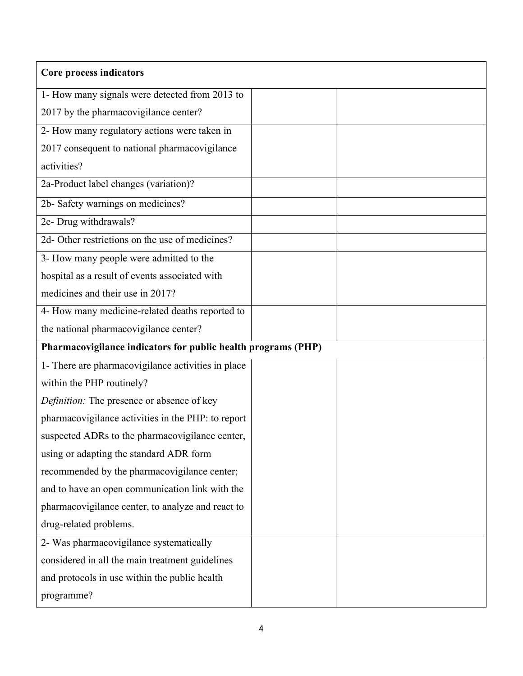| Core process indicators                                       |  |
|---------------------------------------------------------------|--|
| 1- How many signals were detected from 2013 to                |  |
| 2017 by the pharmacovigilance center?                         |  |
| 2- How many regulatory actions were taken in                  |  |
| 2017 consequent to national pharmacovigilance                 |  |
| activities?                                                   |  |
| 2a-Product label changes (variation)?                         |  |
| 2b- Safety warnings on medicines?                             |  |
| 2c- Drug withdrawals?                                         |  |
| 2d- Other restrictions on the use of medicines?               |  |
| 3- How many people were admitted to the                       |  |
| hospital as a result of events associated with                |  |
| medicines and their use in 2017?                              |  |
| 4- How many medicine-related deaths reported to               |  |
| the national pharmacovigilance center?                        |  |
| Pharmacovigilance indicators for public health programs (PHP) |  |
| 1- There are pharmacovigilance activities in place            |  |
| within the PHP routinely?                                     |  |
| Definition: The presence or absence of key                    |  |
| pharmacovigilance activities in the PHP: to report            |  |
| suspected ADRs to the pharmacovigilance center,               |  |
| using or adapting the standard ADR form                       |  |
| recommended by the pharmacovigilance center;                  |  |
| and to have an open communication link with the               |  |
| pharmacovigilance center, to analyze and react to             |  |
| drug-related problems.                                        |  |
| 2- Was pharmacovigilance systematically                       |  |
| considered in all the main treatment guidelines               |  |
| and protocols in use within the public health                 |  |
| programme?                                                    |  |